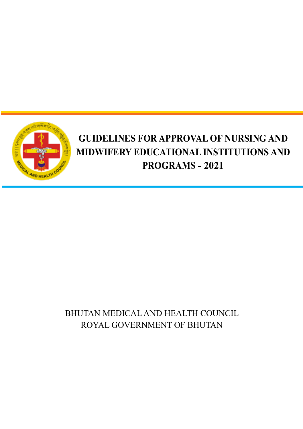

# **GUIDELINES FOR APPROVAL OF NURSING AND MIDWIFERY EDUCATIONAL INSTITUTIONS AND PROGRAMS - 2021**

## BHUTAN MEDICAL AND HEALTH COUNCIL ROYAL GOVERNMENT OF BHUTAN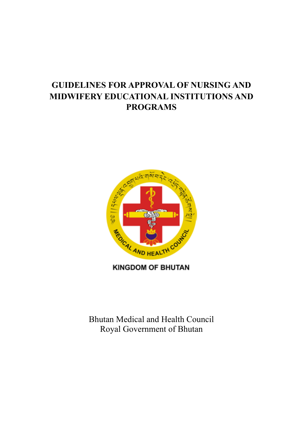## **GUIDELINES FOR APPROVAL OF NURSING AND MIDWIFERY EDUCATIONAL INSTITUTIONS AND PROGRAMS**



**KINGDOM OF BHUTAN** 

Bhutan Medical and Health Council Royal Government of Bhutan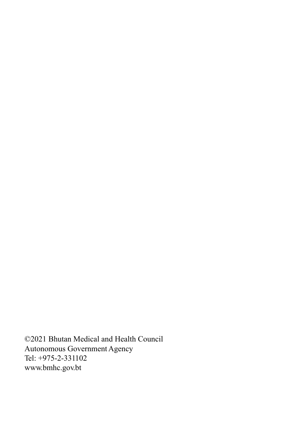©2021 Bhutan Medical and Health Council Autonomous Government Agency Tel: +975-2-331102 www.bmhc.gov.bt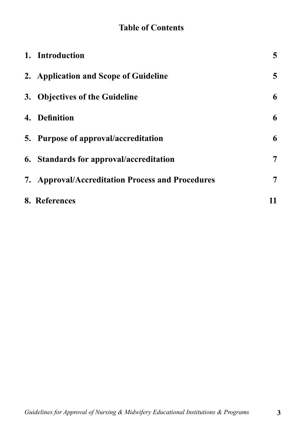## **Table of Contents**

| 1. Introduction                                  | 5  |
|--------------------------------------------------|----|
| 2. Application and Scope of Guideline            | 5  |
| 3. Objectives of the Guideline                   | 6  |
| 4. Definition                                    | 6  |
| 5. Purpose of approval/accreditation             | 6  |
| 6. Standards for approval/accreditation          | 7  |
| 7. Approval/Accreditation Process and Procedures | 7  |
| 8. References                                    | 11 |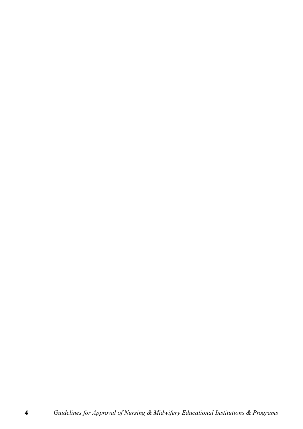*Guidelines for Approval of Nursing & Midwifery Educational Institutions & Programs*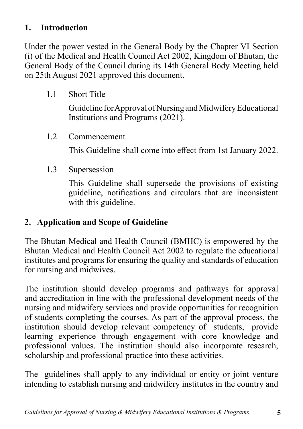## **1. Introduction**

Under the power vested in the General Body by the Chapter VI Section (i) of the Medical and Health Council Act 2002, Kingdom of Bhutan, the General Body of the Council during its 14th General Body Meeting held on 25th August 2021 approved this document.

1.1 Short Title

Guideline for Approval of Nursing and Midwifery Educational Institutions and Programs (2021).

1.2 Commencement

 This Guideline shall come into effect from 1st January 2022.

1.3 Supersession

This Guideline shall supersede the provisions of existing guideline, notifications and circulars that are inconsistent with this guideline.

## **2. Application and Scope of Guideline**

The Bhutan Medical and Health Council (BMHC) is empowered by the Bhutan Medical and Health Council Act 2002 to regulate the educational institutes and programs for ensuring the quality and standards of education for nursing and midwives.

The institution should develop programs and pathways for approval and accreditation in line with the professional development needs of the nursing and midwifery services and provide opportunities for recognition of students completing the courses. As part of the approval process, the institution should develop relevant competency of students, provide learning experience through engagement with core knowledge and professional values. The institution should also incorporate research, scholarship and professional practice into these activities.

The guidelines shall apply to any individual or entity or joint venture intending to establish nursing and midwifery institutes in the country and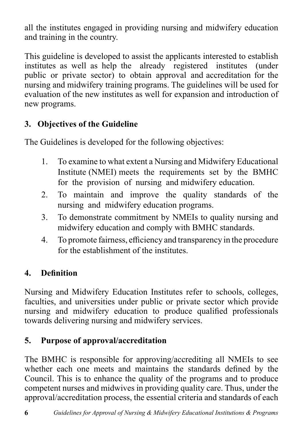all the institutes engaged in providing nursing and midwifery education and training in the country.

This guideline is developed to assist the applicants interested to establish institutes as well as help the already registered institutes (under public or private sector) to obtain approval and accreditation for the nursing and midwifery training programs. The guidelines will be used for evaluation of the new institutes as well for expansion and introduction of new programs.

## **3. Objectives of the Guideline**

The Guidelines is developed for the following objectives:

- 1. To examine to what extent a Nursing and Midwifery Educational Institute (NMEI) meets the requirements set by the BMHC for the provision of nursing and midwifery education.
- 2. To maintain and improve the quality standards of the nursing and midwifery education programs.
- 3. To demonstrate commitment by NMEIs to quality nursing and midwifery education and comply with BMHC standards.
- 4. To promote fairness, efficiency and transparency in the procedure for the establishment of the institutes.

## **4. Definition**

Nursing and Midwifery Education Institutes refer to schools, colleges, faculties, and universities under public or private sector which provide nursing and midwifery education to produce qualified professionals towards delivering nursing and midwifery services.

## **5. Purpose of approval/accreditation**

The BMHC is responsible for approving/accrediting all NMEIs to see whether each one meets and maintains the standards defined by the Council. This is to enhance the quality of the programs and to produce competent nurses and midwives in providing quality care. Thus, under the approval/accreditation process, the essential criteria and standards of each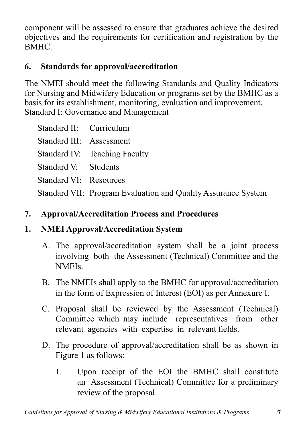component will be assessed to ensure that graduates achieve the desired objectives and the requirements for certification and registration by the BMHC.

## **6. Standards for approval/accreditation**

The NMEI should meet the following Standards and Quality Indicators for Nursing and Midwifery Education or programs set by the BMHC as a basis for its establishment, monitoring, evaluation and improvement. Standard I: Governance and Management

| Standard II: Curriculum  |                                                               |
|--------------------------|---------------------------------------------------------------|
| Standard III: Assessment |                                                               |
|                          | Standard IV: Teaching Faculty                                 |
| Standard V: Students     |                                                               |
| Standard VI: Resources   |                                                               |
|                          | Standard VII: Program Evaluation and Quality Assurance System |

## **7. Approval/Accreditation Process and Procedures**

## **1. NMEI Approval/Accreditation System**

- A. The approval/accreditation system shall be a joint process involving both the Assessment (Technical) Committee and the NMEIs.
- B. The NMEIs shall apply to the BMHC for approval/accreditation in the form of Expression of Interest (EOI) as per Annexure I.
- C. Proposal shall be reviewed by the Assessment (Technical) Committee which may include representatives from other relevant agencies with expertise in relevant fields.
- D. The procedure of approval/accreditation shall be as shown in Figure 1 as follows:
	- I. Upon receipt of the EOI the BMHC shall constitute an Assessment (Technical) Committee for a preliminary review of the proposal.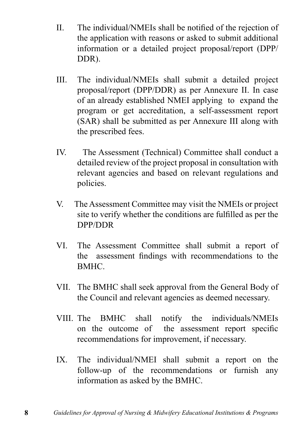- II. The individual/NMEIs shall be notified of the rejection of the application with reasons or asked to submit additional information or a detailed project proposal/report (DPP/ DDR).
- III. The individual/NMEIs shall submit a detailed project proposal/report (DPP/DDR) as per Annexure II. In case of an already established NMEI applying to expand the program or get accreditation, a self-assessment report (SAR) shall be submitted as per Annexure III along with the prescribed fees.
- IV. The Assessment (Technical) Committee shall conduct a detailed review of the project proposal in consultation with relevant agencies and based on relevant regulations and policies.
- V. The Assessment Committee may visit the NMEIs or project site to verify whether the conditions are fulfilled as per the DPP/DDR
- VI. The Assessment Committee shall submit a report of the assessment findings with recommendations to the BMHC.
- VII. The BMHC shall seek approval from the General Body of the Council and relevant agencies as deemed necessary.
- VIII. The BMHC shall notify the individuals/NMEIs on the outcome of the assessment report specific recommendations for improvement, if necessary.
- IX. The individual/NMEI shall submit a report on the follow-up of the recommendations or furnish any information as asked by the BMHC.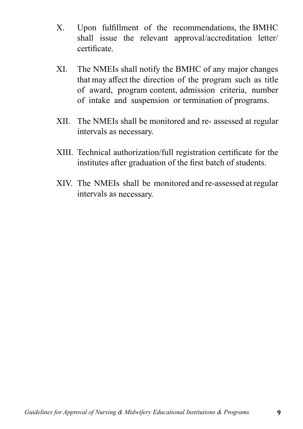- X. Upon fulfillment of the recommendations, the BMHC shall issue the relevant approval/accreditation letter/ certificate.
- XI. The NMEIs shall notify the BMHC of any major changes that may affect the direction of the program such as title of award, program content, admission criteria, number of intake and suspension or termination of programs.
- XII. The NMEIs shall be monitored and re- assessed at regular intervals as necessary.
- XIII. Technical authorization/full registration certificate for the institutes after graduation of the first batch of students.
- XIV. The NMEIs shall be monitored and re-assessed at regular intervals as necessary.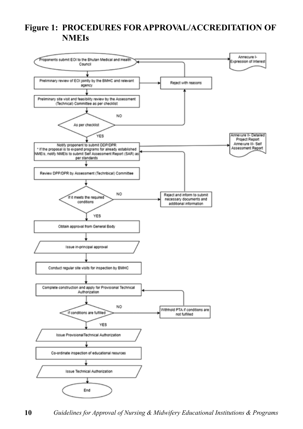#### **Figure 1: PROCEDURES FOR APPROVAL/ACCREDITATION OF NMEIs**

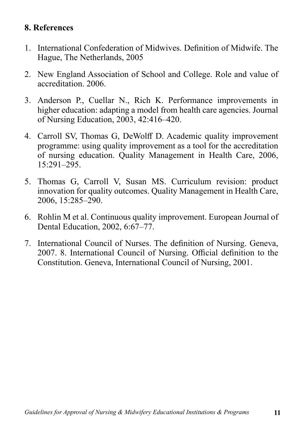#### **8. References**

- 1. International Confederation of Midwives. Definition of Midwife. The Hague, The Netherlands, 2005
- 2. New England Association of School and College. Role and value of accreditation. 2006.
- 3. Anderson P., Cuellar N., Rich K. Performance improvements in higher education: adapting a model from health care agencies. Journal of Nursing Education, 2003, 42:416–420.
- 4. Carroll SV, Thomas G, DeWolff D. Academic quality improvement programme: using quality improvement as a tool for the accreditation of nursing education. Quality Management in Health Care, 2006, 15:291–295.
- 5. Thomas G, Carroll V, Susan MS. Curriculum revision: product innovation for quality outcomes. Quality Management in Health Care, 2006, 15:285–290.
- 6. Rohlin M et al. Continuous quality improvement. European Journal of Dental Education, 2002, 6:67–77.
- 7. International Council of Nurses. The definition of Nursing. Geneva, 2007. 8. International Council of Nursing. Official definition to the Constitution. Geneva, International Council of Nursing, 2001.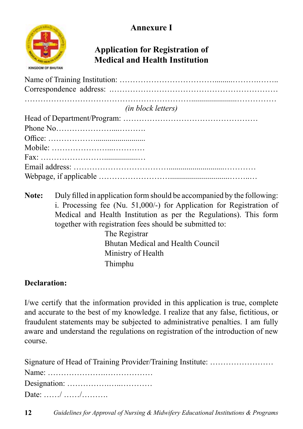## **Annexure I**



## **Application for Registration of Medical and Health Institution**

| (in block letters) |
|--------------------|
|                    |
|                    |
|                    |
|                    |
|                    |
|                    |
|                    |
|                    |

**Note:** Duly filled in application form should be accompanied by the following: i. Processing fee (Nu. 51,000/-) for Application for Registration of Medical and Health Institution as per the Regulations). This form together with registration fees should be submitted to:

The Registrar Bhutan Medical and Health Council Ministry of Health Thimphu

#### **Declaration:**

I/we certify that the information provided in this application is true, complete and accurate to the best of my knowledge. I realize that any false, fictitious, or fraudulent statements may be subjected to administrative penalties. I am fully aware and understand the regulations on registration of the introduction of new course.

| Signature of Head of Training Provider/Training Institute: |
|------------------------------------------------------------|
|                                                            |
|                                                            |
| Date: / /                                                  |

**12** *Guidelines for Approval of Nursing & Midwifery Educational Institutions & Programs*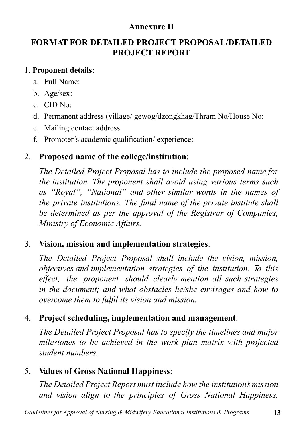#### **Annexure II**

## **FORMAT FOR DETAILED PROJECT PROPOSAL/DETAILED PROJECT REPORT**

#### 1. **Proponent details:**

- a. Full Name:
- b. Age/sex:
- c. CID No:
- d. Permanent address (village/ gewog/dzongkhag/Thram No/House No:
- e. Mailing contact address:
- f. Promoter's academic qualification/ experience:

## 2. **Proposed name of the college/institution**:

*The Detailed Project Proposal has to include the proposed name for the institution. The proponent shall avoid using various terms such as "Royal", "National" and other similar words in the names of the private institutions. The final name of the private institute shall be determined as per the approval of the Registrar of Companies, Ministry of Economic Affairs.*

## 3. **Vision, mission and implementation strategies**:

*The Detailed Project Proposal shall include the vision, mission, objectives and implementation strategies of the institution. To this effect, the proponent should clearly mention all such strategies in the document; and what obstacles he/she envisages and how to overcome them to fulfil its vision and mission.*

## 4. **Project scheduling, implementation and management**:

*The Detailed Project Proposal has to specify the timelines and major milestones to be achieved in the work plan matrix with projected student numbers.*

## 5. **Values of Gross National Happiness**:

*The Detailed Project Report must include how the institution's mission and vision align to the principles of Gross National Happiness,*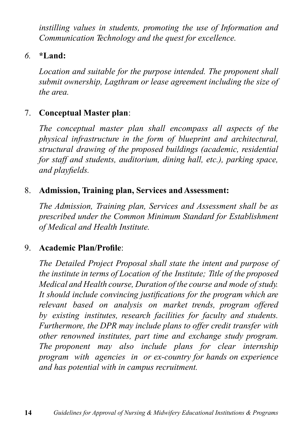*instilling values in students, promoting the use of Information and Communication Technology and the quest for excellence.*

#### *6.* **\*Land:**

*Location and suitable for the purpose intended. The proponent shall submit ownership, Lagthram or lease agreement including the size of the area.*

#### 7. **Conceptual Master plan**:

*The conceptual master plan shall encompass all aspects of the physical infrastructure in the form of blueprint and architectural, structural drawing of the proposed buildings (academic, residential for staff and students, auditorium, dining hall, etc.), parking space, and playfields.*

#### 8. **Admission, Training plan, Services and Assessment:**

*The Admission, Training plan, Services and Assessment shall be as prescribed under the Common Minimum Standard for Establishment of Medical and Health Institute.*

#### 9. **Academic Plan/Profile**:

*The Detailed Project Proposal shall state the intent and purpose of the institute in terms of Location of the Institute; Title of the proposed Medical and Health course, Duration of the course and mode of study. It should include convincing justifications for the program which are relevant based on analysis on market trends, program offered by existing institutes, research facilities for faculty and students. Furthermore, the DPR may include plans to offer credit transfer with other renowned institutes, part time and exchange study program. The proponent may also include plans for clear internship program with agencies in or ex-country for hands on experience and has potential with in campus recruitment.*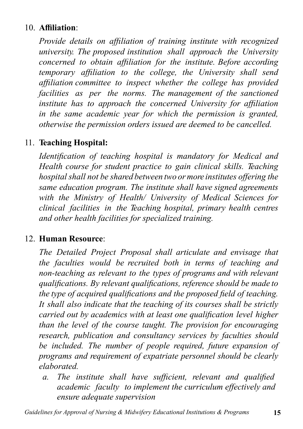#### 10. **Affiliation**:

*Provide details on affiliation of training institute with recognized university. The proposed institution shall approach the University concerned to obtain affiliation for the institute. Before according temporary affiliation to the college, the University shall send affiliation committee to inspect whether the college has provided facilities as per the norms. The management of the sanctioned institute has to approach the concerned University for affiliation in the same academic year for which the permission is granted, otherwise the permission orders issued are deemed to be cancelled.*

#### 11. **Teaching Hospital:**

*Identification of teaching hospital is mandatory for Medical and Health course for student practice to gain clinical skills. Teaching hospital shall not be shared between two or more institutes offering the same education program. The institute shall have signed agreements with the Ministry of Health/ University of Medical Sciences for clinical facilities in the Teaching hospital, primary health centres and other health facilities for specialized training.*

#### 12. **Human Resource**:

*The Detailed Project Proposal shall articulate and envisage that the faculties would be recruited both in terms of teaching and non-teaching as relevant to the types of programs and with relevant qualifications. By relevant qualifications, reference should be made to the type of acquired qualifications and the proposed field of teaching. It shall also indicate that the teaching of its courses shall be strictly carried out by academics with at least one qualification level higher than the level of the course taught. The provision for encouraging research, publication and consultancy services by faculties should be included. The number of people required, future expansion of programs and requirement of expatriate personnel should be clearly elaborated.*

*a. The institute shall have sufficient, relevant and qualified academic faculty to implement the curriculum effectively and ensure adequate supervision*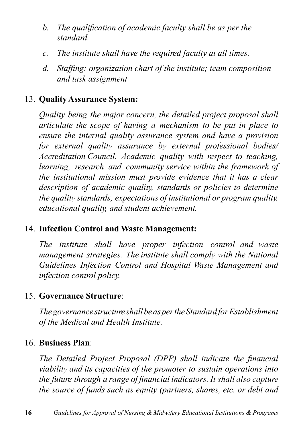- *b. The qualification of academic faculty shall be as per the standard.*
- *c. The institute shall have the required faculty at all times.*
- *d. Staffing: organization chart of the institute; team composition and task assignment*

#### 13. **Quality Assurance System:**

*Quality being the major concern, the detailed project proposal shall articulate the scope of having a mechanism to be put in place to ensure the internal quality assurance system and have a provision for external quality assurance by external professional bodies/ Accreditation Council. Academic quality with respect to teaching, learning, research and community service within the framework of the institutional mission must provide evidence that it has a clear description of academic quality, standards or policies to determine the quality standards, expectations of institutional or program quality, educational quality, and student achievement.*

## 14. **Infection Control and Waste Management:**

*The institute shall have proper infection control and waste management strategies. The institute shall comply with the National Guidelines Infection Control and Hospital Waste Management and infection control policy.*

#### 15. **Governance Structure**:

*The governance structure shall be as per the Standard for Establishment of the Medical and Health Institute.*

#### 16. **Business Plan**:

*The Detailed Project Proposal (DPP) shall indicate the financial viability and its capacities of the promoter to sustain operations into the future through a range of financial indicators. It shall also capture the source of funds such as equity (partners, shares, etc. or debt and*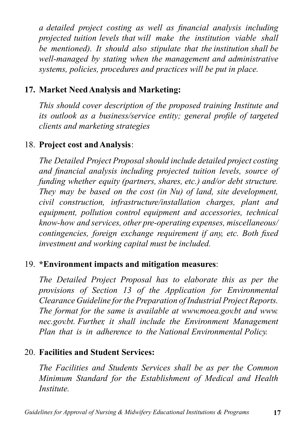*a detailed project costing as well as financial analysis including projected tuition levels that will make the institution viable shall be mentioned). It should also stipulate that the institution shall be well-managed by stating when the management and administrative systems, policies, procedures and practices will be put in place.*

#### **17. Market Need Analysis and Marketing:**

*This should cover description of the proposed training Institute and its outlook as a business/service entity; general profile of targeted clients and marketing strategies*

#### 18. **Project cost and Analysis**:

*The Detailed Project Proposal should include detailed project costing and financial analysis including projected tuition levels, source of funding whether equity (partners, shares, etc.) and/or debt structure. They may be based on the cost (in Nu) of land, site development, civil construction, infrastructure/installation charges, plant and equipment, pollution control equipment and accessories, technical know-how and services, other pre-operating expenses, miscellaneous/ contingencies, foreign exchange requirement if any, etc. Both fixed investment and working capital must be included.*

#### 19. **\*Environment impacts and mitigation measures**:

*The Detailed Project Proposal has to elaborate this as per the provisions of Section 13 of the Application for Environmental Clearance Guideline for the Preparation of Industrial Project Reports. The format for the same is available at www.moea.gov.bt and www. nec.gov.bt. Further, it shall include the Environment Management Plan that is in adherence to the National Environmental Policy.*

#### 20. **Facilities and Student Services:**

*The Facilities and Students Services shall be as per the Common Minimum Standard for the Establishment of Medical and Health Institute.*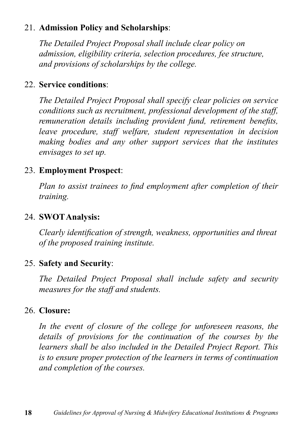#### 21. **Admission Policy and Scholarships**:

*The Detailed Project Proposal shall include clear policy on admission, eligibility criteria, selection procedures, fee structure, and provisions of scholarships by the college.*

#### 22. **Service conditions**:

*The Detailed Project Proposal shall specify clear policies on service conditions such as recruitment, professional development of the staff, remuneration details including provident fund, retirement benefits, leave procedure, staff welfare, student representation in decision making bodies and any other support services that the institutes envisages to set up.*

#### 23. **Employment Prospect**:

*Plan to assist trainees to find employment after completion of their training.*

#### 24. **SWOT Analysis:**

*Clearly identification of strength, weakness, opportunities and threat of the proposed training institute.*

#### 25. **Safety and Security**:

*The Detailed Project Proposal shall include safety and security measures for the staff and students.*

#### 26. **Closure:**

In the event of closure of the college for unforeseen reasons, the *details of provisions for the continuation of the courses by the learners shall be also included in the Detailed Project Report. This is to ensure proper protection of the learners in terms of continuation and completion of the courses.*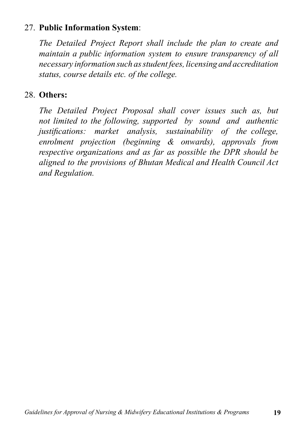#### 27. **Public Information System**:

*The Detailed Project Report shall include the plan to create and maintain a public information system to ensure transparency of all necessary information such as student fees, licensing and accreditation status, course details etc. of the college.*

#### 28. **Others:**

*The Detailed Project Proposal shall cover issues such as, but not limited to the following, supported by sound and authentic justifications: market analysis, sustainability of the college, enrolment projection (beginning & onwards), approvals from respective organizations and as far as possible the DPR should be aligned to the provisions of Bhutan Medical and Health Council Act and Regulation.*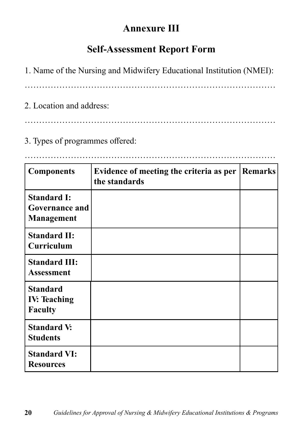## **Annexure III**

## **Self-Assessment Report Form**

1. Name of the Nursing and Midwifery Educational Institution (NMEI): …………………………………………………………………………… 2. Location and address: ……………………………………………………………………………

3. Types of programmes offered:

| <b>Components</b>                                                | Evidence of meeting the criteria as per<br>the standards | <b>Remarks</b> |
|------------------------------------------------------------------|----------------------------------------------------------|----------------|
| <b>Standard I:</b><br><b>Governance and</b><br><b>Management</b> |                                                          |                |
| <b>Standard II:</b><br>Curriculum                                |                                                          |                |
| <b>Standard III:</b><br>Assessment                               |                                                          |                |
| <b>Standard</b><br><b>IV: Teaching</b><br><b>Faculty</b>         |                                                          |                |
| <b>Standard V:</b><br><b>Students</b>                            |                                                          |                |
| <b>Standard VI:</b><br><b>Resources</b>                          |                                                          |                |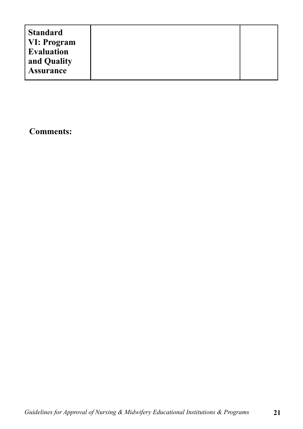| <b>Standard</b><br><b>VI: Program</b><br><b>Evaluation</b><br>and Quality<br><b>Assurance</b> |  |  |
|-----------------------------------------------------------------------------------------------|--|--|
|-----------------------------------------------------------------------------------------------|--|--|

**Comments:**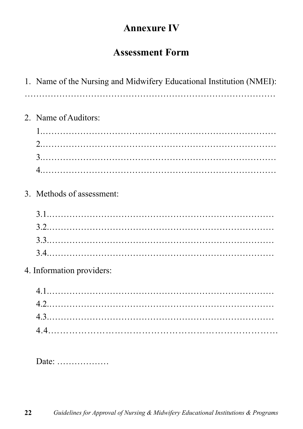## **Annexure IV**

## **Assessment Form**

| 1. Name of the Nursing and Midwifery Educational Institution (NMEI): |
|----------------------------------------------------------------------|
|                                                                      |
| 2. Name of Auditors:                                                 |
|                                                                      |
|                                                                      |
|                                                                      |
|                                                                      |
| 3. Methods of assessment:                                            |
|                                                                      |
|                                                                      |
|                                                                      |
|                                                                      |
| 4. Information providers:                                            |
|                                                                      |
|                                                                      |
|                                                                      |
|                                                                      |
| Date:                                                                |